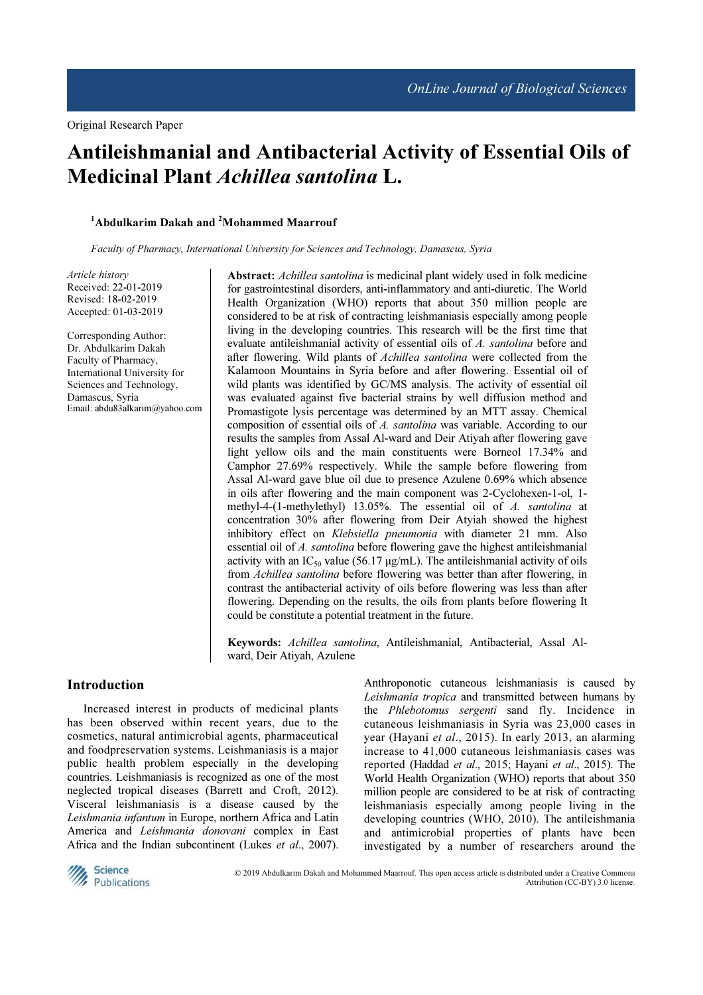# Antileishmanial and Antibacterial Activity of Essential Oils of Medicinal Plant Achillea santolina L.

#### $1$ Abdulkarim Dakah and  $2$ Mohammed Maarrouf

Faculty of Pharmacy, International University for Sciences and Technology, Damascus, Syria

Article history Received: 22-01-2019 Revised: 18-02-2019 Accepted: 01-03-2019

Corresponding Author: Dr. Abdulkarim Dakah Faculty of Pharmacy, International University for Sciences and Technology, Damascus, Syria Email: abdu83alkarim@yahoo.com Abstract: Achillea santolina is medicinal plant widely used in folk medicine for gastrointestinal disorders, anti-inflammatory and anti-diuretic. The World Health Organization (WHO) reports that about 350 million people are considered to be at risk of contracting leishmaniasis especially among people living in the developing countries. This research will be the first time that evaluate antileishmanial activity of essential oils of A. santolina before and after flowering. Wild plants of *Achillea santolina* were collected from the Kalamoon Mountains in Syria before and after flowering. Essential oil of wild plants was identified by GC/MS analysis. The activity of essential oil was evaluated against five bacterial strains by well diffusion method and Promastigote lysis percentage was determined by an MTT assay. Chemical composition of essential oils of A. santolina was variable. According to our results the samples from Assal Al-ward and Deir Atiyah after flowering gave light yellow oils and the main constituents were Borneol 17.34% and Camphor 27.69% respectively. While the sample before flowering from Assal Al-ward gave blue oil due to presence Azulene 0.69% which absence in oils after flowering and the main component was 2-Cyclohexen-1-ol, 1 methyl-4-(1-methylethyl) 13.05%. The essential oil of A. santolina at concentration 30% after flowering from Deir Atyiah showed the highest inhibitory effect on Klebsiella pneumonia with diameter 21 mm. Also essential oil of A. santolina before flowering gave the highest antileishmanial activity with an  $IC_{50}$  value (56.17  $\mu$ g/mL). The antileishmanial activity of oils from Achillea santolina before flowering was better than after flowering, in contrast the antibacterial activity of oils before flowering was less than after flowering. Depending on the results, the oils from plants before flowering It could be constitute a potential treatment in the future.

Keywords: Achillea santolina, Antileishmanial, Antibacterial, Assal Alward, Deir Atiyah, Azulene

#### Introduction

Increased interest in products of medicinal plants has been observed within recent years, due to the cosmetics, natural antimicrobial agents, pharmaceutical and foodpreservation systems. Leishmaniasis is a major public health problem especially in the developing countries. Leishmaniasis is recognized as one of the most neglected tropical diseases (Barrett and Croft, 2012). Visceral leishmaniasis is a disease caused by the Leishmania infantum in Europe, northern Africa and Latin America and Leishmania donovani complex in East Africa and the Indian subcontinent (Lukes et al., 2007). Anthroponotic cutaneous leishmaniasis is caused by Leishmania tropica and transmitted between humans by the Phlebotomus sergenti sand fly. Incidence in cutaneous leishmaniasis in Syria was 23,000 cases in year (Hayani et al., 2015). In early 2013, an alarming increase to 41,000 cutaneous leishmaniasis cases was reported (Haddad et al., 2015; Hayani et al., 2015). The World Health Organization (WHO) reports that about 350 million people are considered to be at risk of contracting leishmaniasis especially among people living in the developing countries (WHO, 2010). The antileishmania and antimicrobial properties of plants have been investigated by a number of researchers around the



© 2019 Abdulkarim Dakah and Mohammed Maarrouf. This open access article is distributed under a Creative Commons Attribution (CC-BY) 3.0 license.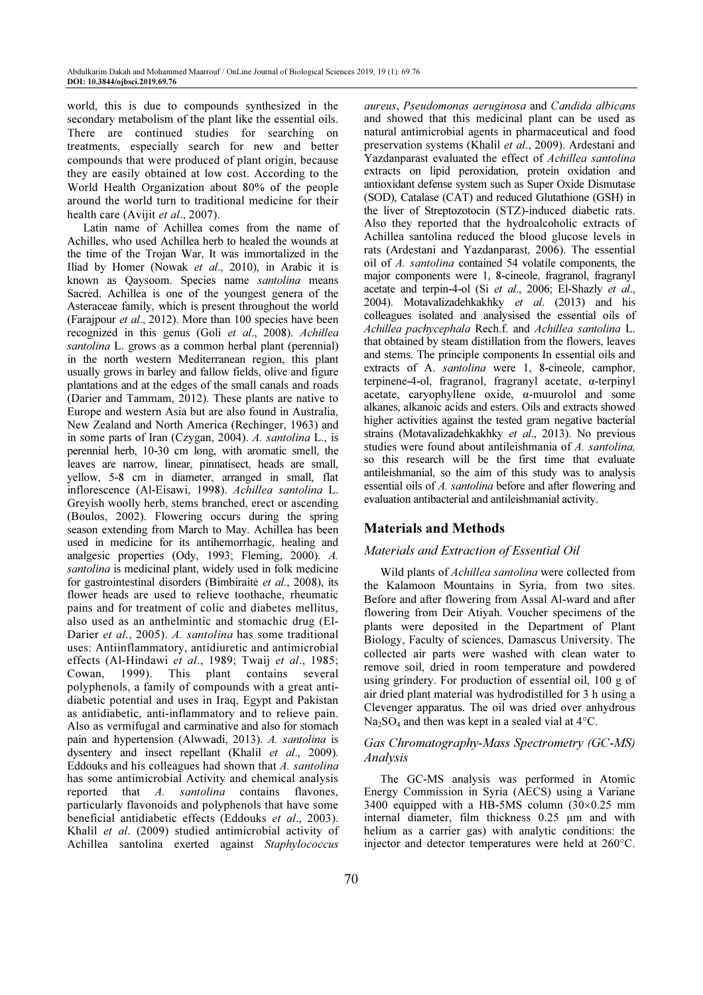world, this is due to compounds synthesized in the secondary metabolism of the plant like the essential oils. There are continued studies for searching on treatments, especially search for new and better compounds that were produced of plant origin, because they are easily obtained at low cost. According to the World Health Organization about 80% of the people around the world turn to traditional medicine for their health care (Avijit et al., 2007).

Latin name of Achillea comes from the name of Achilles, who used Achillea herb to healed the wounds at the time of the Trojan War, It was immortalized in the Iliad by Homer (Nowak et al., 2010), in Arabic it is known as Qaysoom. Species name santolina means Sacred. Achillea is one of the youngest genera of the Asteraceae family, which is present throughout the world (Farajpour et al., 2012). More than 100 species have been recognized in this genus (Goli et al., 2008). Achillea santolina L. grows as a common herbal plant (perennial) in the north western Mediterranean region, this plant usually grows in barley and fallow fields, olive and figure plantations and at the edges of the small canals and roads (Darier and Tammam, 2012). These plants are native to Europe and western Asia but are also found in Australia, New Zealand and North America (Rechinger, 1963) and in some parts of Iran (Czygan, 2004). A. santolina L., is perennial herb, 10-30 cm long, with aromatic smell, the leaves are narrow, linear, pinnatisect, heads are small, yellow, 5-8 cm in diameter, arranged in small, flat inflorescence (Al-Eisawi, 1998). Achillea santolina L. Greyish woolly herb, stems branched, erect or ascending (Boulos, 2002). Flowering occurs during the spring season extending from March to May. Achillea has been used in medicine for its antihemorrhagic, healing and analgesic properties (Ody, 1993; Fleming, 2000). A. santolina is medicinal plant, widely used in folk medicine for gastrointestinal disorders (Bimbiraitė et al., 2008), its flower heads are used to relieve toothache, rheumatic pains and for treatment of colic and diabetes mellitus, also used as an anthelmintic and stomachic drug (El-Darier et al., 2005). A. santolina has some traditional uses: Antiinflammatory, antidiuretic and antimicrobial effects (Al-Hindawi et al., 1989; Twaij et al., 1985; Cowan, 1999). This plant contains several polyphenols, a family of compounds with a great antidiabetic potential and uses in Iraq, Egypt and Pakistan as antidiabetic, anti-inflammatory and to relieve pain. Also as vermifugal and carminative and also for stomach pain and hypertension (Alwwadi, 2013). A. santolina is dysentery and insect repellant (Khalil et al., 2009). Eddouks and his colleagues had shown that A. santolina has some antimicrobial Activity and chemical analysis reported that A. santolina contains flavones, particularly flavonoids and polyphenols that have some beneficial antidiabetic effects (Eddouks et al., 2003). Khalil et al. (2009) studied antimicrobial activity of Achillea santolina exerted against Staphylococcus

aureus, Pseudomonas aeruginosa and Candida albicans and showed that this medicinal plant can be used as natural antimicrobial agents in pharmaceutical and food preservation systems (Khalil et al., 2009). Ardestani and Yazdanparast evaluated the effect of Achillea santolina extracts on lipid peroxidation, protein oxidation and antioxidant defense system such as Super Oxide Dismutase (SOD), Catalase (CAT) and reduced Glutathione (GSH) in the liver of Streptozotocin (STZ)-induced diabetic rats. Also they reported that the hydroalcoholic extracts of Achillea santolina reduced the blood glucose levels in rats (Ardestani and Yazdanparast, 2006). The essential oil of A. santolina contained 54 volatile components, the major components were 1, 8-cineole, fragranol, fragranyl acetate and terpin-4-ol (Si et al., 2006; El-Shazly et al., 2004). Motavalizadehkakhky et al. (2013) and his colleagues isolated and analysised the essential oils of Achillea pachycephala Rech.f. and Achillea santolina L. that obtained by steam distillation from the flowers, leaves and stems. The principle components In essential oils and extracts of A. santolina were 1, 8-cineole, camphor, terpinene-4-ol, fragranol, fragranyl acetate, α-terpinyl acetate, caryophyllene oxide, α-muurolol and some alkanes, alkanoic acids and esters. Oils and extracts showed higher activities against the tested gram negative bacterial strains (Motavalizadehkakhky et al., 2013). No previous studies were found about antileishmania of A. santolina, so this research will be the first time that evaluate antileishmanial, so the aim of this study was to analysis essential oils of A. santolina before and after flowering and evaluation antibacterial and antileishmanial activity.

# Materials and Methods

# Materials and Extraction of Essential Oil

Wild plants of Achillea santolina were collected from the Kalamoon Mountains in Syria, from two sites. Before and after flowering from Assal Al-ward and after flowering from Deir Atiyah. Voucher specimens of the plants were deposited in the Department of Plant Biology, Faculty of sciences, Damascus University. The collected air parts were washed with clean water to remove soil, dried in room temperature and powdered using grindery. For production of essential oil, 100 g of air dried plant material was hydrodistilled for 3 h using a Clevenger apparatus. The oil was dried over anhydrous  $Na<sub>2</sub>SO<sub>4</sub>$  and then was kept in a sealed vial at 4 $°C$ .

# Gas Chromatography-Mass Spectrometry (GC-MS) Analysis

The GC-MS analysis was performed in Atomic Energy Commission in Syria (AECS) using a Variane 3400 equipped with a HB-5MS column (30×0.25 mm internal diameter, film thickness 0.25 µm and with helium as a carrier gas) with analytic conditions: the injector and detector temperatures were held at 260°C.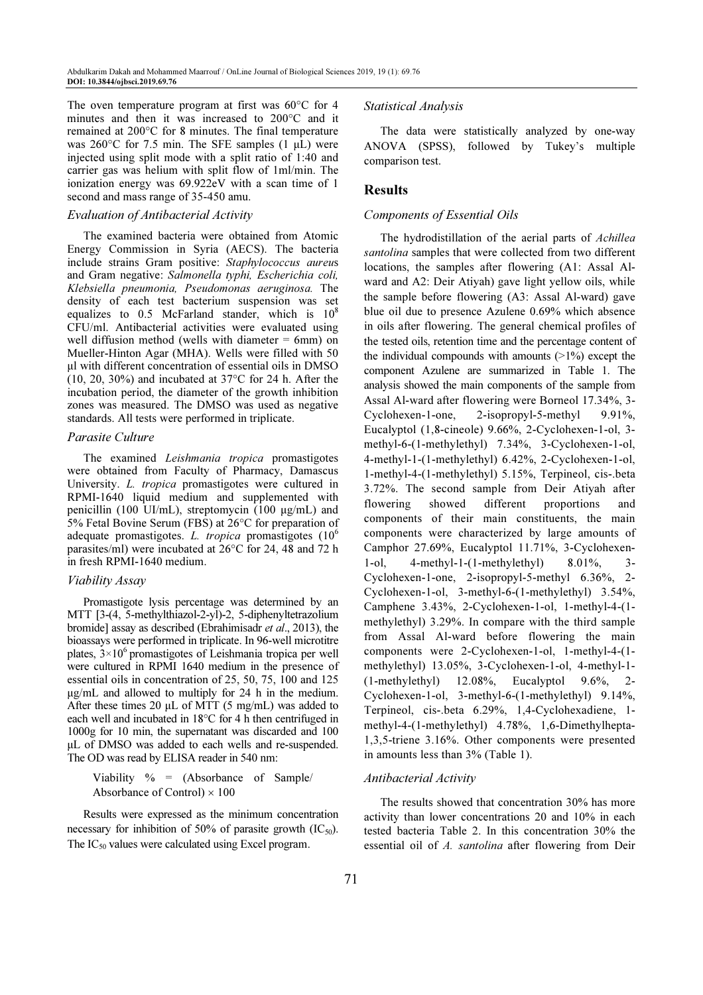The oven temperature program at first was 60°C for 4 minutes and then it was increased to 200°C and it remained at 200°C for 8 minutes. The final temperature was  $260^{\circ}$ C for 7.5 min. The SFE samples (1 µL) were injected using split mode with a split ratio of 1:40 and carrier gas was helium with split flow of 1ml/min. The ionization energy was 69.922eV with a scan time of 1 second and mass range of 35-450 amu.

#### Evaluation of Antibacterial Activity

The examined bacteria were obtained from Atomic Energy Commission in Syria (AECS). The bacteria include strains Gram positive: Staphylococcus aureus and Gram negative: Salmonella typhi, Escherichia coli, Klebsiella pneumonia, Pseudomonas aeruginosa. The density of each test bacterium suspension was set equalizes to  $0.5$  McFarland stander, which is  $10^8$ CFU/ml. Antibacterial activities were evaluated using well diffusion method (wells with diameter  $= 6$ mm) on Mueller-Hinton Agar (MHA). Wells were filled with 50 µl with different concentration of essential oils in DMSO (10, 20, 30%) and incubated at  $37^{\circ}$ C for 24 h. After the incubation period, the diameter of the growth inhibition zones was measured. The DMSO was used as negative standards. All tests were performed in triplicate.

#### Parasite Culture

The examined Leishmania tropica promastigotes were obtained from Faculty of Pharmacy, Damascus University. L. tropica promastigotes were cultured in RPMI-1640 liquid medium and supplemented with penicillin (100 UI/mL), streptomycin (100 µg/mL) and 5% Fetal Bovine Serum (FBS) at 26°C for preparation of adequate promastigotes. L. tropica promastigotes  $(10^6$ parasites/ml) were incubated at 26°C for 24, 48 and 72 h in fresh RPMI-1640 medium.

#### Viability Assay

Promastigote lysis percentage was determined by an MTT [3-(4, 5-methylthiazol-2-yl)-2, 5-diphenyltetrazolium bromide] assay as described (Ebrahimisadr et al., 2013), the bioassays were performed in triplicate. In 96-well microtitre plates,  $3 \times 10^6$  promastigotes of Leishmania tropica per well were cultured in RPMI 1640 medium in the presence of essential oils in concentration of 25, 50, 75, 100 and 125 µg/mL and allowed to multiply for 24 h in the medium. After these times 20  $\mu$ L of MTT (5 mg/mL) was added to each well and incubated in 18°C for 4 h then centrifuged in 1000g for 10 min, the supernatant was discarded and 100 µL of DMSO was added to each wells and re-suspended. The OD was read by ELISA reader in 540 nm:

Viability  $\% = (Absorbane \ of \ Sample/$ Absorbance of Control)  $\times$  100

Results were expressed as the minimum concentration necessary for inhibition of 50% of parasite growth  $(IC_{50})$ . The IC<sub>50</sub> values were calculated using Excel program.

#### Statistical Analysis

The data were statistically analyzed by one-way ANOVA (SPSS), followed by Tukey's multiple comparison test.

# Results

# Components of Essential Oils

The hydrodistillation of the aerial parts of Achillea santolina samples that were collected from two different locations, the samples after flowering (A1: Assal Alward and A2: Deir Atiyah) gave light yellow oils, while the sample before flowering (A3: Assal Al-ward) gave blue oil due to presence Azulene 0.69% which absence in oils after flowering. The general chemical profiles of the tested oils, retention time and the percentage content of the individual compounds with amounts  $(>1%)$  except the component Azulene are summarized in Table 1. The analysis showed the main components of the sample from Assal Al-ward after flowering were Borneol 17.34%, 3- Cyclohexen-1-one, 2-isopropyl-5-methyl 9.91%, Eucalyptol (1,8-cineole) 9.66%, 2-Cyclohexen-1-ol, 3 methyl-6-(1-methylethyl) 7.34%, 3-Cyclohexen-1-ol, 4-methyl-1-(1-methylethyl) 6.42%, 2-Cyclohexen-1-ol, 1-methyl-4-(1-methylethyl) 5.15%, Terpineol, cis-.beta 3.72%. The second sample from Deir Atiyah after flowering showed different proportions and components of their main constituents, the main components were characterized by large amounts of Camphor 27.69%, Eucalyptol 11.71%, 3-Cyclohexen-1-ol, 4-methyl-1-(1-methylethyl) 8.01%, 3- Cyclohexen-1-one, 2-isopropyl-5-methyl 6.36%, 2- Cyclohexen-1-ol, 3-methyl-6-(1-methylethyl) 3.54%, Camphene 3.43%, 2-Cyclohexen-1-ol, 1-methyl-4-(1 methylethyl) 3.29%. In compare with the third sample from Assal Al-ward before flowering the main components were 2-Cyclohexen-1-ol, 1-methyl-4-(1 methylethyl) 13.05%, 3-Cyclohexen-1-ol, 4-methyl-1- (1-methylethyl) 12.08%, Eucalyptol 9.6%, 2- Cyclohexen-1-ol, 3-methyl-6-(1-methylethyl) 9.14%, Terpineol, cis-.beta 6.29%, 1,4-Cyclohexadiene, 1 methyl-4-(1-methylethyl) 4.78%, 1,6-Dimethylhepta-1,3,5-triene 3.16%. Other components were presented in amounts less than 3% (Table 1).

#### Antibacterial Activity

The results showed that concentration 30% has more activity than lower concentrations 20 and 10% in each tested bacteria Table 2. In this concentration 30% the essential oil of A. santolina after flowering from Deir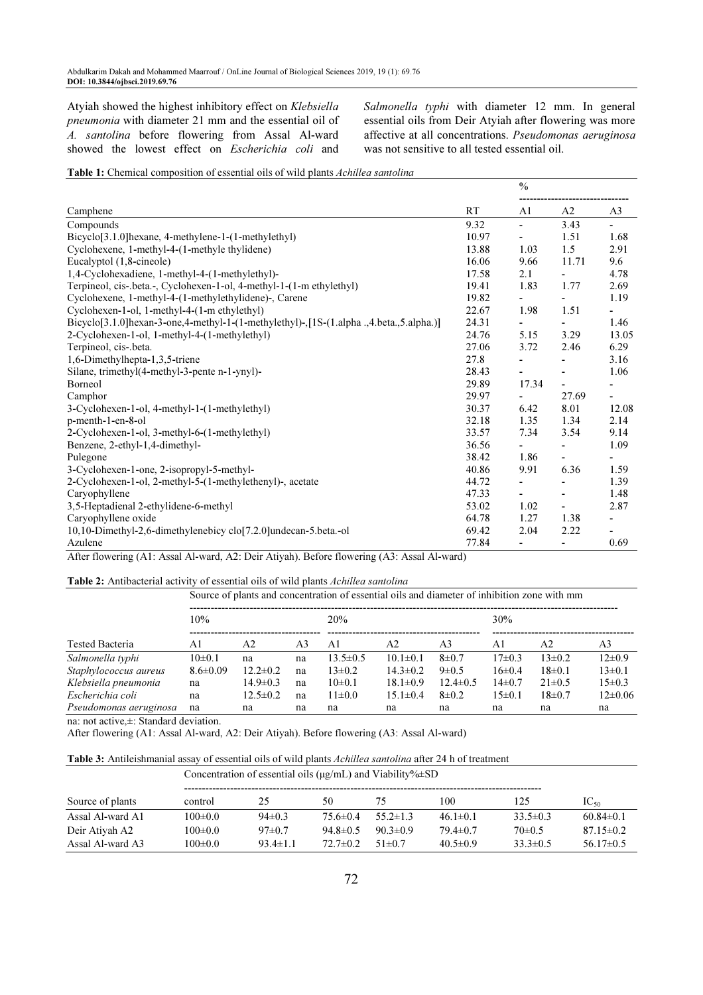Atyiah showed the highest inhibitory effect on Klebsiella pneumonia with diameter 21 mm and the essential oil of A. santolina before flowering from Assal Al-ward showed the lowest effect on Escherichia coli and Salmonella typhi with diameter 12 mm. In general essential oils from Deir Atyiah after flowering was more affective at all concentrations. Pseudomonas aeruginosa was not sensitive to all tested essential oil.

Table 1: Chemical composition of essential oils of wild plants Achillea santolina

|                                                                                        |           | $\frac{0}{0}$            |                          |                |
|----------------------------------------------------------------------------------------|-----------|--------------------------|--------------------------|----------------|
| Camphene                                                                               | <b>RT</b> | A1                       | A <sub>2</sub>           | A <sub>3</sub> |
| Compounds                                                                              | 9.32      | $\blacksquare$           | 3.43                     | ÷              |
| Bicyclo[3.1.0]hexane, 4-methylene-1-(1-methylethyl)                                    | 10.97     |                          | 1.51                     | 1.68           |
| Cyclohexene, 1-methyl-4-(1-methyle thylidene)                                          | 13.88     | 1.03                     | 1.5                      | 2.91           |
| Eucalyptol (1,8-cineole)                                                               | 16.06     | 9.66                     | 11.71                    | 9.6            |
| 1,4-Cyclohexadiene, 1-methyl-4-(1-methylethyl)-                                        | 17.58     | 2.1                      |                          | 4.78           |
| Terpineol, cis-.beta.-, Cyclohexen-1-ol, 4-methyl-1-(1-m ethylethyl)                   | 19.41     | 1.83                     | 1.77                     | 2.69           |
| Cyclohexene, 1-methyl-4-(1-methylethylidene)-, Carene                                  | 19.82     | L,                       | $\blacksquare$           | 1.19           |
| Cyclohexen-1-ol, 1-methyl-4-(1-m ethylethyl)                                           | 22.67     | 1.98                     | 1.51                     |                |
| Bicyclo[3.1.0]hexan-3-one,4-methyl-1-(1-methylethyl)-,[1S-(1.alpha.,4.beta.,5.alpha.)] | 24.31     |                          | $\blacksquare$           | 1.46           |
| 2-Cyclohexen-1-ol, 1-methyl-4-(1-methylethyl)                                          | 24.76     | 5.15                     | 3.29                     | 13.05          |
| Terpineol, cis-.beta.                                                                  | 27.06     | 3.72                     | 2.46                     | 6.29           |
| 1,6-Dimethylhepta-1,3,5-triene                                                         | 27.8      |                          |                          | 3.16           |
| Silane, trimethyl(4-methyl-3-pente n-1-ynyl)-                                          | 28.43     | $\overline{\phantom{a}}$ | $\blacksquare$           | 1.06           |
| Borneol                                                                                | 29.89     | 17.34                    | $\blacksquare$           |                |
| Camphor                                                                                | 29.97     |                          | 27.69                    | ٠              |
| 3-Cyclohexen-1-ol, 4-methyl-1-(1-methylethyl)                                          | 30.37     | 6.42                     | 8.01                     | 12.08          |
| p-menth-1-en-8-ol                                                                      | 32.18     | 1.35                     | 1.34                     | 2.14           |
| 2-Cyclohexen-1-ol, 3-methyl-6-(1-methylethyl)                                          | 33.57     | 7.34                     | 3.54                     | 9.14           |
| Benzene, 2-ethyl-1,4-dimethyl-                                                         | 36.56     |                          |                          | 1.09           |
| Pulegone                                                                               | 38.42     | 1.86                     | $\blacksquare$           |                |
| 3-Cyclohexen-1-one, 2-isopropyl-5-methyl-                                              | 40.86     | 9.91                     | 6.36                     | 1.59           |
| 2-Cyclohexen-1-ol, 2-methyl-5-(1-methylethenyl)-, acetate                              | 44.72     | $\overline{\phantom{m}}$ | $\overline{\phantom{a}}$ | 1.39           |
| Caryophyllene                                                                          | 47.33     |                          | $\overline{\phantom{a}}$ | 1.48           |
| 3,5-Heptadienal 2-ethylidene-6-methyl                                                  | 53.02     | 1.02                     | $\blacksquare$           | 2.87           |
| Caryophyllene oxide                                                                    | 64.78     | 1.27                     | 1.38                     |                |
| 10,10-Dimethyl-2,6-dimethylenebicy clo[7.2.0]undecan-5.beta.-ol                        | 69.42     | 2.04                     | 2.22                     |                |
| Azulene                                                                                | 77.84     |                          |                          | 0.69           |

After flowering (A1: Assal Al-ward, A2: Deir Atiyah). Before flowering (A3: Assal Al-ward)

Table 2: Antibacterial activity of essential oils of wild plants Achillea santolina

|                        | 10%            |                |    | 20%            |                |                | 30%          |              |              |
|------------------------|----------------|----------------|----|----------------|----------------|----------------|--------------|--------------|--------------|
| Tested Bacteria        | Αl             | A2             | A3 | Αl             | A2             | A3             | Αl           | A2           | A3           |
| Salmonella typhi       | $10\pm 0.1$    | na             | na | $13.5 \pm 0.5$ | $10.1 \pm 0.1$ | $8\pm 0.7$     | $17\pm0.3$   | $13\pm0.2$   | $12 \pm 0.9$ |
| Staphylococcus aureus  | $8.6 \pm 0.09$ | $12.2 \pm 0.2$ | na | $13 \pm 0.2$   | $14.3 \pm 0.2$ | $9 \pm 0.5$    | $16\pm0.4$   | $18 \pm 0.1$ | $13 \pm 0.1$ |
| Klebsiella pneumonia   | na             | $14.9 \pm 0.3$ | na | $10\pm 0.1$    | $18.1 \pm 0.9$ | $12.4 \pm 0.5$ | $14\pm0.7$   | $21 \pm 0.5$ | $15 \pm 0.3$ |
| Escherichia coli       | na             | $12.5 \pm 0.2$ | na | $11\pm0.0$     | $15.1 \pm 0.4$ | $8\pm 0.2$     | $15 \pm 0.1$ | $18\pm0.7$   | $12\pm0.06$  |
| Pseudomonas aeruginosa | na             | na             | na | na             | na             | na             | na           | na           | na           |

na: not active,±: Standard deviation.

After flowering (A1: Assal Al-ward, A2: Deir Atiyah). Before flowering (A3: Assal Al-ward)

Table 3: Antileishmanial assay of essential oils of wild plants Achillea santolina after 24 h of treatment

|                  | Concentration of essential oils ( $\mu$ g/mL) and Viability% $\pm$ SD |                |                |                |                |                |                 |  |  |
|------------------|-----------------------------------------------------------------------|----------------|----------------|----------------|----------------|----------------|-----------------|--|--|
| Source of plants | control                                                               | 25             | 50             | 75             | 100            | 125            | $IC_{50}$       |  |  |
| Assal Al-ward A1 | $100 \pm 0.0$                                                         | $94\pm0.3$     | $75.6 \pm 0.4$ | $55.2 \pm 1.3$ | $46.1 \pm 0.1$ | $33.5 \pm 0.3$ | $60.84\pm0.1$   |  |  |
| Deir Ativah A2   | $100 \pm 0.0$                                                         | $97\pm0.7$     | $94.8 \pm 0.5$ | $90.3 \pm 0.9$ | $79.4 \pm 0.7$ | $70\pm0.5$     | $87.15 \pm 0.2$ |  |  |
| Assal Al-ward A3 | $100 \pm 0.0$                                                         | $93.4 \pm 1.1$ | $72.7 \pm 0.2$ | $51\pm0.7$     | $40.5 \pm 0.9$ | $33.3 \pm 0.5$ | $56.17\pm0.5$   |  |  |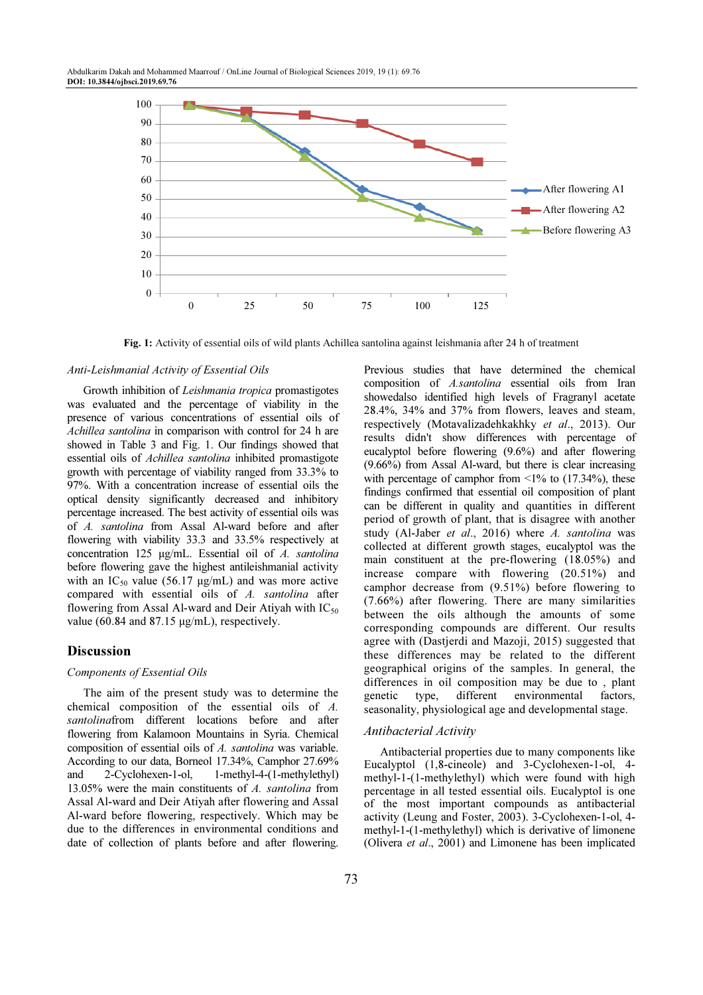

Fig. 1: Activity of essential oils of wild plants Achillea santolina against leishmania after 24 h of treatment

#### Anti-Leishmanial Activity of Essential Oils

Growth inhibition of Leishmania tropica promastigotes was evaluated and the percentage of viability in the presence of various concentrations of essential oils of Achillea santolina in comparison with control for 24 h are showed in Table 3 and Fig. 1. Our findings showed that essential oils of Achillea santolina inhibited promastigote growth with percentage of viability ranged from 33.3% to 97%. With a concentration increase of essential oils the optical density significantly decreased and inhibitory percentage increased. The best activity of essential oils was of A. santolina from Assal Al-ward before and after flowering with viability 33.3 and 33.5% respectively at concentration 125 µg/mL. Essential oil of A. santolina before flowering gave the highest antileishmanial activity with an  $IC_{50}$  value (56.17  $\mu$ g/mL) and was more active compared with essential oils of A. santolina after flowering from Assal Al-ward and Deir Atiyah with  $IC_{50}$ value (60.84 and 87.15 µg/mL), respectively.

#### Discussion

#### Components of Essential Oils

The aim of the present study was to determine the chemical composition of the essential oils of A. santolinafrom different locations before and after flowering from Kalamoon Mountains in Syria. Chemical composition of essential oils of A. santolina was variable. According to our data, Borneol 17.34%, Camphor 27.69% and 2-Cyclohexen-1-ol, 1-methyl-4-(1-methylethyl) 13.05% were the main constituents of A. santolina from Assal Al-ward and Deir Atiyah after flowering and Assal Al-ward before flowering, respectively. Which may be due to the differences in environmental conditions and date of collection of plants before and after flowering.

Previous studies that have determined the chemical composition of A.santolina essential oils from Iran showedalso identified high levels of Fragranyl acetate 28.4%, 34% and 37% from flowers, leaves and steam, respectively (Motavalizadehkakhky et al., 2013). Our results didn't show differences with percentage of eucalyptol before flowering (9.6%) and after flowering (9.66%) from Assal Al-ward, but there is clear increasing with percentage of camphor from  $\leq 1\%$  to (17.34%), these findings confirmed that essential oil composition of plant can be different in quality and quantities in different period of growth of plant, that is disagree with another study (Al-Jaber et al., 2016) where A. santolina was collected at different growth stages, eucalyptol was the main constituent at the pre-flowering (18.05%) and increase compare with flowering (20.51%) and camphor decrease from (9.51%) before flowering to (7.66%) after flowering. There are many similarities between the oils although the amounts of some corresponding compounds are different. Our results agree with (Dastjerdi and Mazoji, 2015) suggested that these differences may be related to the different geographical origins of the samples. In general, the differences in oil composition may be due to , plant genetic type, different environmental factors, seasonality, physiological age and developmental stage.

## Antibacterial Activity

Antibacterial properties due to many components like Eucalyptol (1,8-cineole) and 3-Cyclohexen-1-ol, 4 methyl-1-(1-methylethyl) which were found with high percentage in all tested essential oils. Eucalyptol is one of the most important compounds as antibacterial activity (Leung and Foster, 2003). 3-Cyclohexen-1-ol, 4 methyl-1-(1-methylethyl) which is derivative of limonene (Olivera et al., 2001) and Limonene has been implicated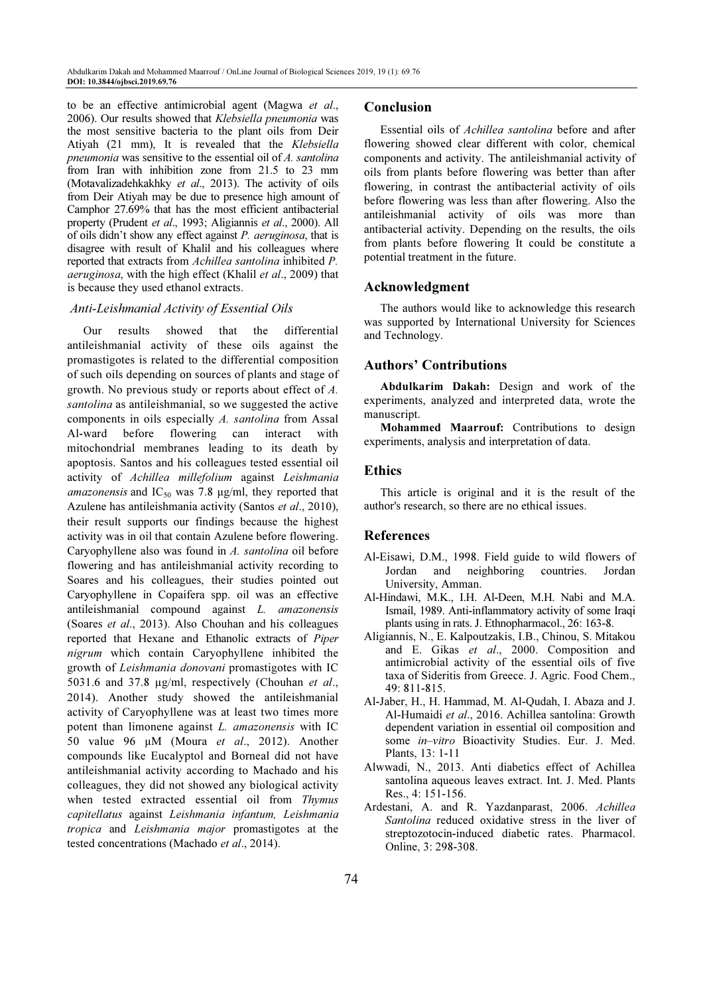to be an effective antimicrobial agent (Magwa et al., 2006). Our results showed that Klebsiella pneumonia was the most sensitive bacteria to the plant oils from Deir Atiyah (21 mm), It is revealed that the Klebsiella pneumonia was sensitive to the essential oil of A. santolina from Iran with inhibition zone from 21.5 to 23 mm (Motavalizadehkakhky et al., 2013). The activity of oils from Deir Atiyah may be due to presence high amount of Camphor 27.69% that has the most efficient antibacterial property (Prudent et al., 1993; Aligiannis et al., 2000). All of oils didn't show any effect against P. aeruginosa, that is disagree with result of Khalil and his colleagues where reported that extracts from Achillea santolina inhibited P. aeruginosa, with the high effect (Khalil et al., 2009) that is because they used ethanol extracts.

## Anti-Leishmanial Activity of Essential Oils

Our results showed that the differential antileishmanial activity of these oils against the promastigotes is related to the differential composition of such oils depending on sources of plants and stage of growth. No previous study or reports about effect of A. santolina as antileishmanial, so we suggested the active components in oils especially A. santolina from Assal Al-ward before flowering can interact with mitochondrial membranes leading to its death by apoptosis. Santos and his colleagues tested essential oil activity of Achillea millefolium against Leishmania *amazonensis* and IC<sub>50</sub> was 7.8  $\mu$ g/ml, they reported that Azulene has antileishmania activity (Santos et al., 2010), their result supports our findings because the highest activity was in oil that contain Azulene before flowering. Caryophyllene also was found in A. santolina oil before flowering and has antileishmanial activity recording to Soares and his colleagues, their studies pointed out Caryophyllene in Copaifera spp. oil was an effective antileishmanial compound against L. amazonensis (Soares et al., 2013). Also Chouhan and his colleagues reported that Hexane and Ethanolic extracts of Piper nigrum which contain Caryophyllene inhibited the growth of Leishmania donovani promastigotes with IC 5031.6 and 37.8 µg/ml, respectively (Chouhan et al., 2014). Another study showed the antileishmanial activity of Caryophyllene was at least two times more potent than limonene against L. amazonensis with IC 50 value 96 µM (Moura et al., 2012). Another compounds like Eucalyptol and Borneal did not have antileishmanial activity according to Machado and his colleagues, they did not showed any biological activity when tested extracted essential oil from Thymus capitellatus against Leishmania infantum, Leishmania tropica and Leishmania major promastigotes at the tested concentrations (Machado et al., 2014).

#### Conclusion

Essential oils of Achillea santolina before and after flowering showed clear different with color, chemical components and activity. The antileishmanial activity of oils from plants before flowering was better than after flowering, in contrast the antibacterial activity of oils before flowering was less than after flowering. Also the antileishmanial activity of oils was more than antibacterial activity. Depending on the results, the oils from plants before flowering It could be constitute a potential treatment in the future.

#### Acknowledgment

The authors would like to acknowledge this research was supported by International University for Sciences and Technology.

#### Authors' Contributions

Abdulkarim Dakah: Design and work of the experiments, analyzed and interpreted data, wrote the manuscript.

Mohammed Maarrouf: Contributions to design experiments, analysis and interpretation of data.

#### Ethics

This article is original and it is the result of the author's research, so there are no ethical issues.

# References

- Al-Eisawi, D.M., 1998. Field guide to wild flowers of Jordan and neighboring countries. Jordan University, Amman.
- Al-Hindawi, M.K., I.H. Al-Deen, M.H. Nabi and M.A. Ismail, 1989. Anti-inflammatory activity of some Iraqi plants using in rats. J. Ethnopharmacol., 26: 163-8.
- Aligiannis, N., E. Kalpoutzakis, I.B., Chinou, S. Mitakou and E. Gikas et al., 2000. Composition and antimicrobial activity of the essential oils of five taxa of Sideritis from Greece. J. Agric. Food Chem., 49: 811-815.
- Al-Jaber, H., H. Hammad, M. Al-Qudah, I. Abaza and J. Al-Humaidi et al., 2016. Achillea santolina: Growth dependent variation in essential oil composition and some in–vitro Bioactivity Studies. Eur. J. Med. Plants, 13: 1-11
- Alwwadi, N., 2013. Anti diabetics effect of Achillea santolina aqueous leaves extract. Int. J. Med. Plants Res., 4: 151-156.
- Ardestani, A. and R. Yazdanparast, 2006. Achillea Santolina reduced oxidative stress in the liver of streptozotocin-induced diabetic rates. Pharmacol. Online, 3: 298-308.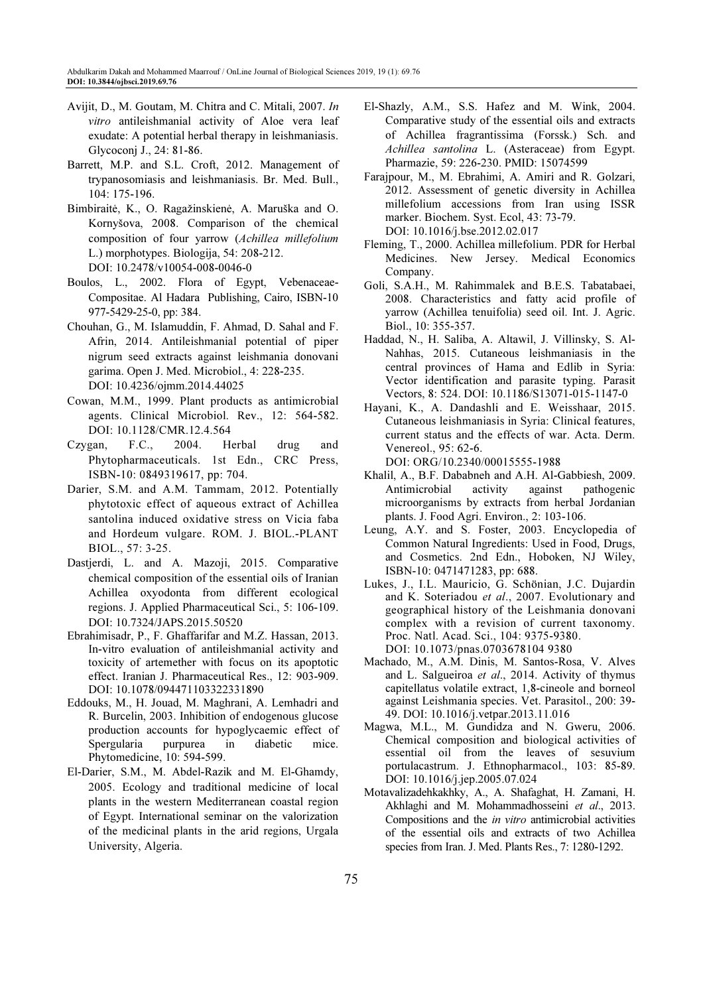- Avijit, D., M. Goutam, M. Chitra and C. Mitali, 2007. In vitro antileishmanial activity of Aloe vera leaf exudate: A potential herbal therapy in leishmaniasis. Glycoconj J., 24: 81-86.
- Barrett, M.P. and S.L. Croft, 2012. Management of trypanosomiasis and leishmaniasis. Br. Med. Bull., 104: 175-196.
- Bimbiraitė, K., O. Ragažinskienė, A. Maruška and O. Kornyšova, 2008. Comparison of the chemical composition of four yarrow (Achillea millefolium L.) morphotypes. Biologija, 54: 208-212. DOI: 10.2478/v10054-008-0046-0
- Boulos, L., 2002. Flora of Egypt, Vebenaceae-Compositae. Al Hadara Publishing, Cairo, ISBN-10 977-5429-25-0, pp: 384.
- Chouhan, G., M. Islamuddin, F. Ahmad, D. Sahal and F. Afrin, 2014. Antileishmanial potential of piper nigrum seed extracts against leishmania donovani garima. Open J. Med. Microbiol., 4: 228-235. DOI: 10.4236/ojmm.2014.44025
- Cowan, M.M., 1999. Plant products as antimicrobial agents. Clinical Microbiol. Rev., 12: 564-582. DOI: 10.1128/CMR.12.4.564
- Czygan, F.C., 2004. Herbal drug and Phytopharmaceuticals. 1st Edn., CRC Press, ISBN-10: 0849319617, pp: 704.
- Darier, S.M. and A.M. Tammam, 2012. Potentially phytotoxic effect of aqueous extract of Achillea santolina induced oxidative stress on Vicia faba and Hordeum vulgare. ROM. J. BIOL.-PLANT BIOL., 57: 3-25.
- Dastjerdi, L. and A. Mazoji, 2015. Comparative chemical composition of the essential oils of Iranian Achillea oxyodonta from different ecological regions. J. Applied Pharmaceutical Sci., 5: 106-109. DOI: 10.7324/JAPS.2015.50520
- Ebrahimisadr, P., F. Ghaffarifar and M.Z. Hassan, 2013. In-vitro evaluation of antileishmanial activity and toxicity of artemether with focus on its apoptotic effect. Iranian J. Pharmaceutical Res., 12: 903-909. DOI: 10.1078/094471103322331890
- Eddouks, M., H. Jouad, M. Maghrani, A. Lemhadri and R. Burcelin, 2003. Inhibition of endogenous glucose production accounts for hypoglycaemic effect of Spergularia purpurea in diabetic mice. Phytomedicine, 10: 594-599.
- El-Darier, S.M., M. Abdel-Razik and M. El-Ghamdy, 2005. Ecology and traditional medicine of local plants in the western Mediterranean coastal region of Egypt. International seminar on the valorization of the medicinal plants in the arid regions, Urgala University, Algeria.
- El-Shazly, A.M., S.S. Hafez and M. Wink, 2004. Comparative study of the essential oils and extracts of Achillea fragrantissima (Forssk.) Sch. and Achillea santolina L. (Asteraceae) from Egypt. Pharmazie, 59: 226-230. PMID: 15074599
- Farajpour, M., M. Ebrahimi, A. Amiri and R. Golzari, 2012. Assessment of genetic diversity in Achillea millefolium accessions from Iran using ISSR marker. Biochem. Syst. Ecol, 43: 73-79. DOI: 10.1016/j.bse.2012.02.017
- Fleming, T., 2000. Achillea millefolium. PDR for Herbal Medicines. New Jersey. Medical Economics Company.
- Goli, S.A.H., M. Rahimmalek and B.E.S. Tabatabaei, 2008. Characteristics and fatty acid profile of yarrow (Achillea tenuifolia) seed oil. Int. J. Agric. Biol., 10: 355-357.
- Haddad, N., H. Saliba, A. Altawil, J. Villinsky, S. Al-Nahhas, 2015. Cutaneous leishmaniasis in the central provinces of Hama and Edlib in Syria: Vector identification and parasite typing. Parasit Vectors, 8: 524. DOI: 10.1186/S13071-015-1147-0
- Hayani, K., A. Dandashli and E. Weisshaar, 2015. Cutaneous leishmaniasis in Syria: Clinical features, current status and the effects of war. Acta. Derm. Venereol., 95: 62-6.

DOI: ORG/10.2340/00015555-1988

- Khalil, A., B.F. Dababneh and A.H. Al-Gabbiesh, 2009. Antimicrobial activity against pathogenic microorganisms by extracts from herbal Jordanian plants. J. Food Agri. Environ., 2: 103-106.
- Leung, A.Y. and S. Foster, 2003. Encyclopedia of Common Natural Ingredients: Used in Food, Drugs, and Cosmetics. 2nd Edn., Hoboken, NJ Wiley, ISBN-10: 0471471283, pp: 688.
- Lukes, J., I.L. Mauricio, G. Schönian, J.C. Dujardin and K. Soteriadou et al., 2007. Evolutionary and geographical history of the Leishmania donovani complex with a revision of current taxonomy. Proc. Natl. Acad. Sci., 104: 9375-9380. DOI: 10.1073/pnas.0703678104 9380
- Machado, M., A.M. Dinis, M. Santos-Rosa, V. Alves and L. Salgueiroa et al., 2014. Activity of thymus capitellatus volatile extract, 1,8-cineole and borneol against Leishmania species. Vet. Parasitol., 200: 39- 49. DOI: 10.1016/j.vetpar.2013.11.016
- Magwa, M.L., M. Gundidza and N. Gweru, 2006. Chemical composition and biological activities of essential oil from the leaves of sesuvium portulacastrum. J. Ethnopharmacol., 103: 85-89. DOI: 10.1016/j.jep.2005.07.024
- Motavalizadehkakhky, A., A. Shafaghat, H. Zamani, H. Akhlaghi and M. Mohammadhosseini et al., 2013. Compositions and the in vitro antimicrobial activities of the essential oils and extracts of two Achillea species from Iran. J. Med. Plants Res., 7: 1280-1292.